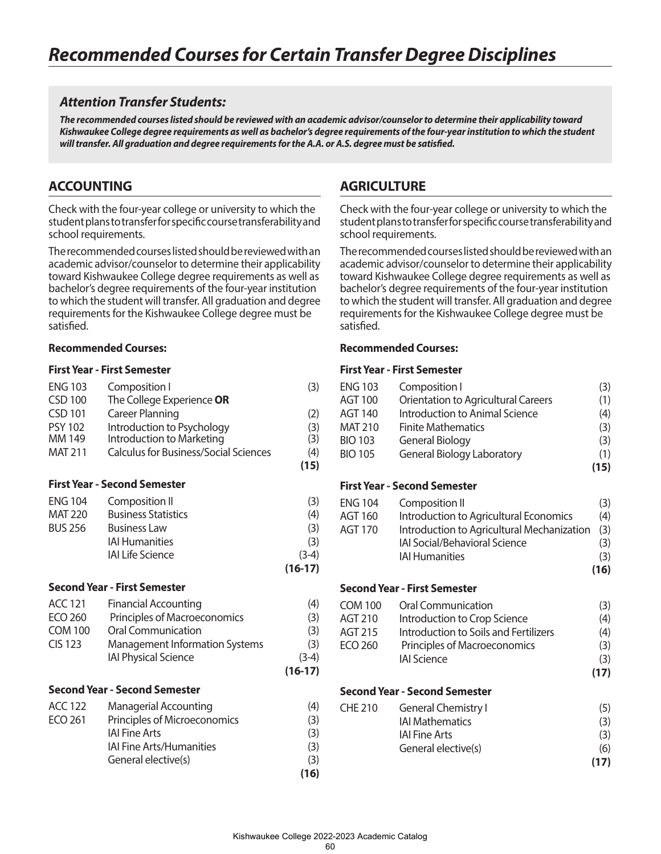# *Attention Transfer Students:*

*The recommended courses listed should be reviewed with an academic advisor/counselor to determine their applicability toward Kishwaukee College degree requirements as well as bachelor's degree requirements of the four-year institution to which the student will transfer. All graduation and degree requirements for the A.A. or A.S. degree must be satisfied.*

# **ACCOUNTING**

Check with the four-year college or university to which the student plans to transfer for specific course transferability and school requirements.

The recommended courses listed should be reviewed with an academic advisor/counselor to determine their applicability toward Kishwaukee College degree requirements as well as bachelor's degree requirements of the four-year institution to which the student will transfer. All graduation and degree requirements for the Kishwaukee College degree must be satisfied.

## **Recommended Courses:**

### **First Year - First Semester**

| <b>ENG 103</b><br>Composition I                                | (3)     |
|----------------------------------------------------------------|---------|
| The College Experience OR<br><b>CSD 100</b>                    |         |
| <b>Career Planning</b><br><b>CSD 101</b>                       | (2)     |
| Introduction to Psychology<br><b>PSY 102</b>                   | (3)     |
| MM 149<br>Introduction to Marketing                            | (3)     |
| <b>MAT 211</b><br><b>Calculus for Business/Social Sciences</b> | (4)     |
|                                                                | (15)    |
| <b>First Year - Second Semester</b>                            |         |
| <b>ENG 104</b><br>Composition II                               | (3)     |
| <b>Business Statistics</b><br><b>MAT 220</b>                   | (4)     |
| <b>BUS 256</b><br><b>Business Law</b>                          | (3)     |
| <b>IAI Humanities</b>                                          | (3)     |
| <b>IAI Life Science</b>                                        | $(3-4)$ |
| $(16-17)$                                                      |         |
| <b>Second Year - First Semester</b>                            |         |
| <b>ACC 121</b><br><b>Financial Accounting</b>                  | (4)     |
| <b>ECO 260</b><br>Principles of Macroeconomics                 | (3)     |
| <b>Oral Communication</b><br><b>COM 100</b>                    | (3)     |
| <b>CIS 123</b><br><b>Management Information Systems</b>        | (3)     |
| <b>IAI Physical Science</b>                                    | $(3-4)$ |
| $(16-17)$                                                      |         |
| <b>Second Year - Second Semester</b>                           |         |
| <b>ACC 122</b><br><b>Managerial Accounting</b>                 | (4)     |
| <b>ECO 261</b><br>Principles of Microeconomics                 | (3)     |
| <b>IAI Fine Arts</b>                                           | (3)     |
| <b>IAI Fine Arts/Humanities</b>                                | (3)     |
| General elective(s)                                            | (3)     |
|                                                                | (16)    |

# **AGRICULTURE**

Check with the four-year college or university to which the student plans to transfer for specific course transferability and school requirements.

The recommended courses listed should be reviewed with an academic advisor/counselor to determine their applicability toward Kishwaukee College degree requirements as well as bachelor's degree requirements of the four-year institution to which the student will transfer. All graduation and degree requirements for the Kishwaukee College degree must be satisfied.

## **Recommended Courses:**

| <b>ENG 103</b><br><b>AGT 100</b><br><b>AGT 140</b><br><b>MAT 210</b> | Composition I<br>Orientation to Agricultural Careers<br><b>Introduction to Animal Science</b><br><b>Finite Mathematics</b> | (3)<br>(1)<br>(4)<br>(3) |
|----------------------------------------------------------------------|----------------------------------------------------------------------------------------------------------------------------|--------------------------|
| <b>BIO 103</b>                                                       | <b>General Biology</b>                                                                                                     | (3)                      |
| <b>BIO 105</b>                                                       | <b>General Biology Laboratory</b>                                                                                          | (1)                      |
|                                                                      |                                                                                                                            | (15)                     |
|                                                                      | <b>First Year - Second Semester</b>                                                                                        |                          |
| <b>ENG 104</b>                                                       | Composition II                                                                                                             | (3)                      |
| <b>AGT 160</b>                                                       | Introduction to Agricultural Economics                                                                                     | (4)                      |
| <b>AGT 170</b>                                                       | Introduction to Agricultural Mechanization                                                                                 | (3)                      |
|                                                                      | <b>IAI Social/Behavioral Science</b>                                                                                       | (3)                      |
|                                                                      | <b>IAI Humanities</b>                                                                                                      | (3)                      |
|                                                                      |                                                                                                                            | (16)                     |
|                                                                      | <b>Second Year - First Semester</b>                                                                                        |                          |
| <b>COM 100</b>                                                       | Oral Communication                                                                                                         | (3)                      |
| AGT 210                                                              | Introduction to Crop Science                                                                                               | (4)                      |
| <b>AGT 215</b>                                                       | Introduction to Soils and Fertilizers                                                                                      | (4)                      |
| <b>ECO 260</b>                                                       | Principles of Macroeconomics                                                                                               | (3)                      |
|                                                                      | <b>IAI Science</b>                                                                                                         | (3)                      |
|                                                                      |                                                                                                                            | (17)                     |
|                                                                      | <b>Second Year - Second Semester</b>                                                                                       |                          |
| <b>CHE 210</b>                                                       | <b>General Chemistry I</b>                                                                                                 | (5)                      |
|                                                                      | <b>IAI Mathematics</b>                                                                                                     | (3)                      |
|                                                                      | <b>IAI Fine Arts</b>                                                                                                       | (3)                      |
|                                                                      | General elective(s)                                                                                                        | (6)                      |
|                                                                      |                                                                                                                            | (17)                     |
|                                                                      |                                                                                                                            |                          |
|                                                                      |                                                                                                                            |                          |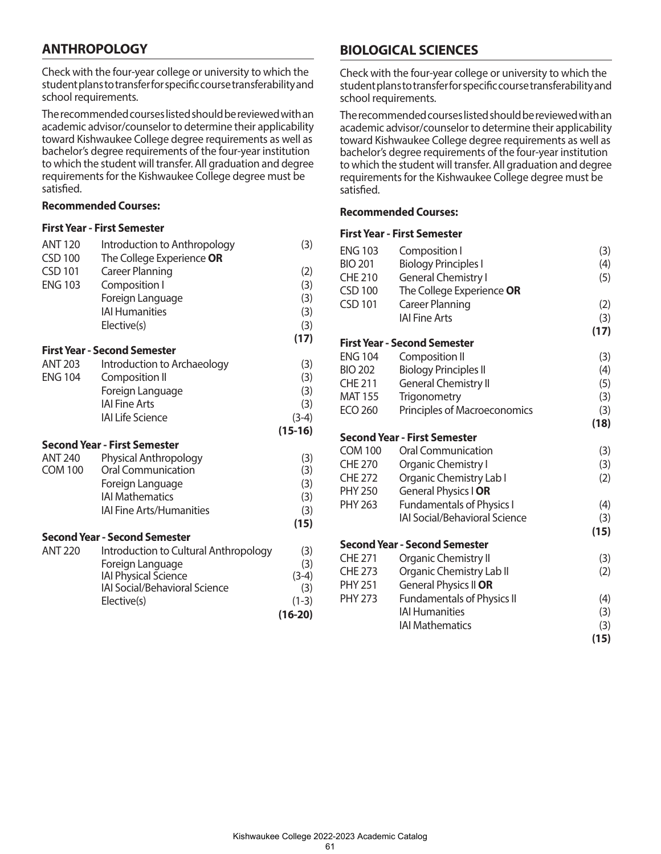# **ANTHROPOLOGY**

Check with the four-year college or university to which the student plans to transfer for specific course transferability and school requirements.

The recommended courses listed should be reviewed with an academic advisor/counselor to determine their applicability toward Kishwaukee College degree requirements as well as bachelor's degree requirements of the four-year institution to which the student will transfer. All graduation and degree requirements for the Kishwaukee College degree must be satisfied.

### **Recommended Courses:**

#### **First Year - First Semester**

| <b>ANT 120</b> | Introduction to Anthropology          | (3)       |
|----------------|---------------------------------------|-----------|
| <b>CSD 100</b> | The College Experience OR             |           |
| <b>CSD 101</b> | <b>Career Planning</b>                | (2)       |
| <b>ENG 103</b> | Composition I                         | (3)       |
|                | Foreign Language                      | (3)       |
|                | <b>IAI Humanities</b>                 | (3)       |
|                | Elective(s)                           | (3)       |
|                |                                       | (17)      |
|                | <b>First Year - Second Semester</b>   |           |
| <b>ANT 203</b> | Introduction to Archaeology           | (3)       |
| <b>ENG 104</b> | Composition II                        | (3)       |
|                | Foreign Language                      | (3)       |
|                | <b>IAI Fine Arts</b>                  | (3)       |
|                | <b>IAI Life Science</b>               | $(3-4)$   |
|                |                                       | $(15-16)$ |
|                | <b>Second Year - First Semester</b>   |           |
| <b>ANT 240</b> | Physical Anthropology                 | (3)       |
| <b>COM 100</b> | <b>Oral Communication</b>             | (3)       |
|                | Foreign Language                      | (3)       |
|                | <b>IAI Mathematics</b>                | (3)       |
|                | <b>IAI Fine Arts/Humanities</b>       | (3)       |
|                |                                       | (15)      |
|                | <b>Second Year - Second Semester</b>  |           |
| <b>ANT 220</b> | Introduction to Cultural Anthropology | (3)       |
|                | Foreign Language                      | (3)       |
|                | <b>IAI Physical Science</b>           | $(3-4)$   |
|                | IAI Social/Behavioral Science         | (3)       |
|                | Elective(s)                           | $(1-3)$   |
|                |                                       | $(16-20)$ |
|                |                                       |           |

# **BIOLOGICAL SCIENCES**

Check with the four-year college or university to which the student plans to transfer for specific course transferability and school requirements.

The recommended courses listed should be reviewed with an academic advisor/counselor to determine their applicability toward Kishwaukee College degree requirements as well as bachelor's degree requirements of the four-year institution to which the student will transfer. All graduation and degree requirements for the Kishwaukee College degree must be satisfied.

## **Recommended Courses:**

| <b>ENG 103</b> | Composition I                        | (3)  |
|----------------|--------------------------------------|------|
| <b>BIO 201</b> | <b>Biology Principles I</b>          | (4)  |
| <b>CHE 210</b> | <b>General Chemistry I</b>           | (5)  |
| <b>CSD 100</b> | The College Experience OR            |      |
| <b>CSD 101</b> | <b>Career Planning</b>               | (2)  |
|                | <b>IAI Fine Arts</b>                 | (3)  |
|                |                                      | (17) |
|                | <b>First Year - Second Semester</b>  |      |
| <b>ENG 104</b> | Composition II                       | (3)  |
| <b>BIO 202</b> | <b>Biology Principles II</b>         | (4)  |
| <b>CHE 211</b> | <b>General Chemistry II</b>          | (5)  |
| <b>MAT 155</b> | Trigonometry                         | (3)  |
| <b>ECO 260</b> | Principles of Macroeconomics         | (3)  |
|                |                                      | (18) |
|                | <b>Second Year - First Semester</b>  |      |
| <b>COM 100</b> | <b>Oral Communication</b>            | (3)  |
| <b>CHE 270</b> | Organic Chemistry I                  | (3)  |
| <b>CHE 272</b> | Organic Chemistry Lab I              | (2)  |
| <b>PHY 250</b> | General Physics I OR                 |      |
| <b>PHY 263</b> | <b>Fundamentals of Physics I</b>     | (4)  |
|                | <b>IAI Social/Behavioral Science</b> | (3)  |
|                |                                      | (15) |
|                | <b>Second Year - Second Semester</b> |      |
| <b>CHE 271</b> | Organic Chemistry II                 | (3)  |
| <b>CHE 273</b> | Organic Chemistry Lab II             | (2)  |
| <b>PHY 251</b> | General Physics II OR                |      |
| <b>PHY 273</b> | <b>Fundamentals of Physics II</b>    | (4)  |
|                | <b>IAI Humanities</b>                | (3)  |
|                | <b>IAI Mathematics</b>               | (3)  |
|                |                                      | (15) |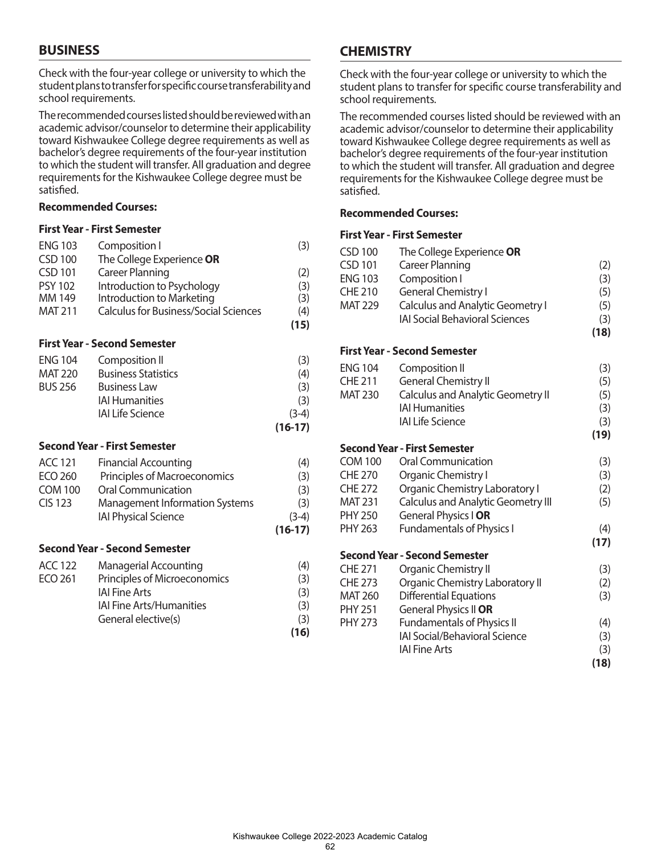# **BUSINESS**

Check with the four-year college or university to which the student plans to transfer for specific course transferability and school requirements.

The recommended courses listed should be reviewed with an academic advisor/counselor to determine their applicability toward Kishwaukee College degree requirements as well as bachelor's degree requirements of the four-year institution to which the student will transfer. All graduation and degree requirements for the Kishwaukee College degree must be satisfied.

### **Recommended Courses:**

#### **First Year - First Semester**

| <b>ENG 103</b>                      | Composition I                                | (3)  |
|-------------------------------------|----------------------------------------------|------|
| <b>CSD 100</b>                      | The College Experience OR                    |      |
| <b>CSD 101</b>                      | <b>Career Planning</b>                       | (2)  |
| <b>PSY 102</b>                      | Introduction to Psychology                   | (3)  |
| MM 149                              | Introduction to Marketing                    | (3)  |
| <b>MAT 211</b>                      | <b>Calculus for Business/Social Sciences</b> | (4)  |
|                                     |                                              | (15) |
| <b>First Year - Second Semester</b> |                                              |      |

|                |                            | $(16-17)$ |
|----------------|----------------------------|-----------|
|                | <b>IAI Life Science</b>    | $(3-4)$   |
|                | <b>IAI Humanities</b>      | (3)       |
| <b>BUS 256</b> | <b>Business Law</b>        | (3)       |
| <b>MAT 220</b> | <b>Business Statistics</b> | (4)       |
| <b>ENG 104</b> | Composition II             | (3)       |

#### **Second Year - First Semester**

|                |                                       | $(16-17)$ |
|----------------|---------------------------------------|-----------|
|                | <b>IAI Physical Science</b>           | $(3-4)$   |
| <b>CIS 123</b> | <b>Management Information Systems</b> | (3)       |
| <b>COM 100</b> | <b>Oral Communication</b>             | (3)       |
| <b>ECO 260</b> | Principles of Macroeconomics          | (3)       |
| ACC 121        | <b>Financial Accounting</b>           | (4)       |

## **Second Year - Second Semester**

| ACC 122 | <b>Managerial Accounting</b>    | (4)  |
|---------|---------------------------------|------|
| ECO 261 | Principles of Microeconomics    | (3)  |
|         | <b>IAI Fine Arts</b>            | (3)  |
|         | <b>IAI Fine Arts/Humanities</b> | (3)  |
|         | General elective(s)             | (3)  |
|         |                                 | (16) |

# **CHEMISTRY**

Check with the four-year college or university to which the student plans to transfer for specific course transferability and school requirements.

The recommended courses listed should be reviewed with an academic advisor/counselor to determine their applicability toward Kishwaukee College degree requirements as well as bachelor's degree requirements of the four-year institution to which the student will transfer. All graduation and degree requirements for the Kishwaukee College degree must be satisfied.

## **Recommended Courses:**

| <b>CSD 100</b> | The College Experience OR                 |      |
|----------------|-------------------------------------------|------|
| <b>CSD 101</b> | <b>Career Planning</b>                    | (2)  |
| <b>ENG 103</b> | Composition I                             | (3)  |
| <b>CHE 210</b> | <b>General Chemistry I</b>                | (5)  |
| <b>MAT 229</b> | <b>Calculus and Analytic Geometry I</b>   | (5)  |
|                | <b>IAI Social Behavioral Sciences</b>     | (3)  |
|                |                                           | (18) |
|                | <b>First Year - Second Semester</b>       |      |
| <b>ENG 104</b> | Composition II                            | (3)  |
| <b>CHE 211</b> | <b>General Chemistry II</b>               | (5)  |
| <b>MAT 230</b> | <b>Calculus and Analytic Geometry II</b>  | (5)  |
|                | <b>IAI Humanities</b>                     | (3)  |
|                | <b>IAI Life Science</b>                   | (3)  |
|                |                                           | (19) |
|                | <b>Second Year - First Semester</b>       |      |
| <b>COM 100</b> | Oral Communication                        | (3)  |
| <b>CHE 270</b> | Organic Chemistry I                       | (3)  |
| <b>CHE 272</b> | Organic Chemistry Laboratory I            | (2)  |
| <b>MAT 231</b> | <b>Calculus and Analytic Geometry III</b> | (5)  |
| <b>PHY 250</b> | General Physics I OR                      |      |
| <b>PHY 263</b> | <b>Fundamentals of Physics I</b>          | (4)  |
|                |                                           | (17) |
|                | <b>Second Year - Second Semester</b>      |      |
| <b>CHE 271</b> | <b>Organic Chemistry II</b>               | (3)  |
| <b>CHE 273</b> | Organic Chemistry Laboratory II           | (2)  |
| <b>MAT 260</b> | <b>Differential Equations</b>             | (3)  |
| <b>PHY 251</b> | General Physics II OR                     |      |
| <b>PHY 273</b> | <b>Fundamentals of Physics II</b>         | (4)  |
|                | <b>IAI Social/Behavioral Science</b>      | (3)  |
|                | <b>IAI Fine Arts</b>                      | (3)  |
|                |                                           | (18) |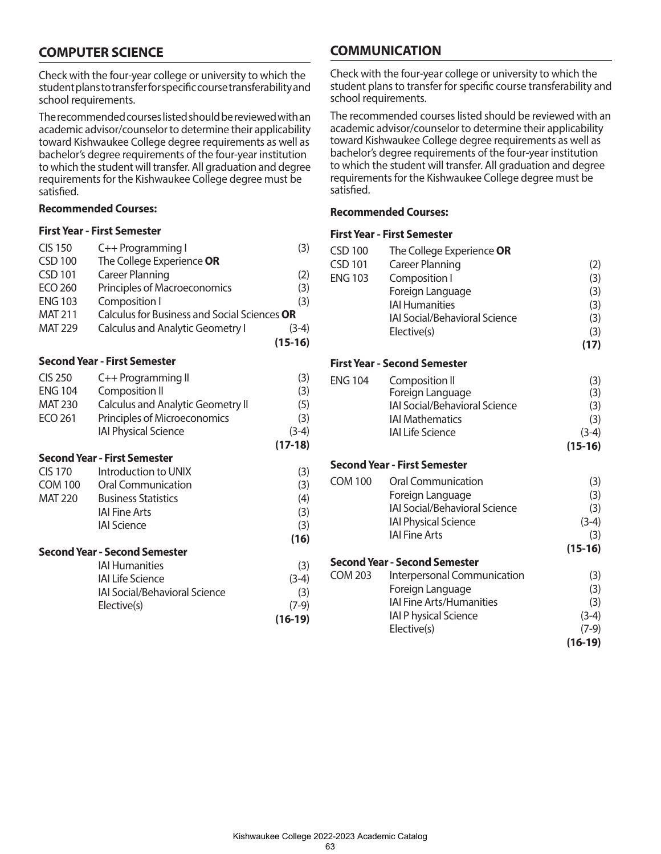# **COMPUTER SCIENCE**

Check with the four-year college or university to which the student plans to transfer for specific course transferability and school requirements.

The recommended courses listed should be reviewed with an academic advisor/counselor to determine their applicability toward Kishwaukee College degree requirements as well as bachelor's degree requirements of the four-year institution to which the student will transfer. All graduation and degree requirements for the Kishwaukee College degree must be satisfied.

### **Recommended Courses:**

### **First Year - First Semester**

| <b>CIS 150</b> | C++ Programming I                            | (3)       |
|----------------|----------------------------------------------|-----------|
| <b>CSD 100</b> | The College Experience OR                    |           |
| <b>CSD 101</b> | <b>Career Planning</b>                       | (2)       |
| <b>ECO 260</b> | Principles of Macroeconomics                 | (3)       |
| <b>ENG 103</b> | Composition I                                | (3)       |
| <b>MAT 211</b> | Calculus for Business and Social Sciences OR |           |
| <b>MAT 229</b> | <b>Calculus and Analytic Geometry I</b>      | $(3-4)$   |
|                |                                              | $(15-16)$ |

#### **Second Year - First Semester**

| <b>CIS 250</b> | C++ Programming II                       | (3)       |
|----------------|------------------------------------------|-----------|
| <b>ENG 104</b> | Composition II                           | (3)       |
| <b>MAT 230</b> | <b>Calculus and Analytic Geometry II</b> | (5)       |
| <b>ECO 261</b> | Principles of Microeconomics             | (3)       |
|                | <b>IAI Physical Science</b>              | $(3-4)$   |
|                |                                          | $(17-18)$ |
|                | <b>Second Year - First Semester</b>      |           |
| CIS 170        | Introduction to UNIX                     | (3)       |
| <b>COM 100</b> | Oral Communication                       | (3)       |
| <b>MAT 220</b> | <b>Business Statistics</b>               | (4)       |
|                | <b>IAI Fine Arts</b>                     | (3)       |
|                | <b>IAI Science</b>                       | (3)       |

**(16)**

#### **Second Year - Second Semester**

| <b>IAI Humanities</b>                | (3)       |
|--------------------------------------|-----------|
| <b>IAI Life Science</b>              | $(3-4)$   |
| <b>IAI Social/Behavioral Science</b> | (3)       |
| Elective(s)                          | $(7-9)$   |
|                                      | $(16-19)$ |

# **COMMUNICATION**

Check with the four-year college or university to which the student plans to transfer for specific course transferability and school requirements.

The recommended courses listed should be reviewed with an academic advisor/counselor to determine their applicability toward Kishwaukee College degree requirements as well as bachelor's degree requirements of the four-year institution to which the student will transfer. All graduation and degree requirements for the Kishwaukee College degree must be satisfied.

## **Recommended Courses:**

| <b>CSD 100</b><br><b>CSD 101</b><br><b>ENG 103</b> | The College Experience OR<br><b>Career Planning</b><br>Composition I<br>Foreign Language<br><b>IAI Humanities</b><br><b>IAI Social/Behavioral Science</b><br>Elective(s) | (2)<br>(3)<br>(3)<br>(3)<br>(3)<br>(3)<br>(17)     |
|----------------------------------------------------|--------------------------------------------------------------------------------------------------------------------------------------------------------------------------|----------------------------------------------------|
|                                                    | <b>First Year - Second Semester</b>                                                                                                                                      |                                                    |
| <b>ENG 104</b>                                     | Composition II<br>Foreign Language<br><b>IAI Social/Behavioral Science</b><br><b>IAI Mathematics</b><br><b>IAI Life Science</b>                                          | (3)<br>(3)<br>(3)<br>(3)<br>$(3-4)$                |
|                                                    |                                                                                                                                                                          | $(15-16)$                                          |
|                                                    | <b>Second Year - First Semester</b>                                                                                                                                      |                                                    |
| <b>COM 100</b>                                     | Oral Communication<br>Foreign Language<br><b>IAI Social/Behavioral Science</b><br><b>IAI Physical Science</b><br><b>IAI Fine Arts</b>                                    | (3)<br>(3)<br>(3)<br>$(3-4)$<br>(3)<br>$(15-16)$   |
|                                                    | <b>Second Year - Second Semester</b>                                                                                                                                     |                                                    |
| <b>COM 203</b>                                     | Interpersonal Communication<br>Foreign Language<br><b>IAI Fine Arts/Humanities</b><br><b>IAI P hysical Science</b><br>Elective(s)                                        | (3)<br>(3)<br>(3)<br>$(3-4)$<br>(7-9)<br>$(16-19)$ |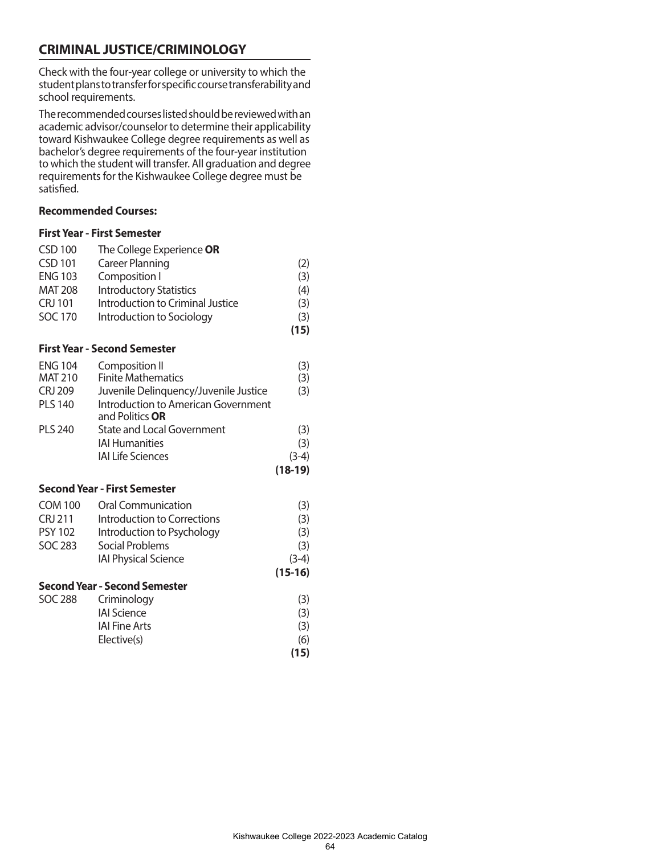# **CRIMINAL JUSTICE/CRIMINOLOGY**

Check with the four-year college or university to which the student plans to transfer for specific course transferability and school requirements.

The recommended courses listed should be reviewed with an academic advisor/counselor to determine their applicability toward Kishwaukee College degree requirements as well as bachelor's degree requirements of the four-year institution to which the student will transfer. All graduation and degree requirements for the Kishwaukee College degree must be satisfied.

# **Recommended Courses:**

| <b>CSD 100</b> | The College Experience OR                                     |           |
|----------------|---------------------------------------------------------------|-----------|
| <b>CSD 101</b> | <b>Career Planning</b>                                        | (2)       |
| <b>ENG 103</b> | Composition I                                                 | (3)       |
| <b>MAT 208</b> | <b>Introductory Statistics</b>                                | (4)       |
| <b>CRJ 101</b> | Introduction to Criminal Justice                              | (3)       |
| <b>SOC 170</b> | Introduction to Sociology                                     | (3)       |
|                |                                                               | (15)      |
|                | <b>First Year - Second Semester</b>                           |           |
| <b>ENG 104</b> | Composition II                                                | (3)       |
| <b>MAT 210</b> | <b>Finite Mathematics</b>                                     | (3)       |
| <b>CRJ 209</b> | Juvenile Delinquency/Juvenile Justice                         | (3)       |
| <b>PLS 140</b> | <b>Introduction to American Government</b><br>and Politics OR |           |
| <b>PLS 240</b> | <b>State and Local Government</b>                             | (3)       |
|                | <b>IAI Humanities</b>                                         | (3)       |
|                | <b>IAI Life Sciences</b>                                      | $(3-4)$   |
|                |                                                               | $(18-19)$ |
|                | <b>Second Year - First Semester</b>                           |           |
| <b>COM 100</b> | Oral Communication                                            | (3)       |
| <b>CRJ 211</b> | Introduction to Corrections                                   | (3)       |
| <b>PSY 102</b> | Introduction to Psychology                                    | (3)       |
| <b>SOC 283</b> | Social Problems                                               | (3)       |
|                | <b>IAI Physical Science</b>                                   | $(3-4)$   |
|                |                                                               | $(15-16)$ |
|                | <b>Second Year - Second Semester</b>                          |           |
| <b>SOC 288</b> | Criminology                                                   | (3)       |
|                | <b>IAI Science</b>                                            | (3)       |
|                | <b>IAI Fine Arts</b>                                          | (3)       |
|                | Elective(s)                                                   | (6)       |
|                |                                                               | (15)      |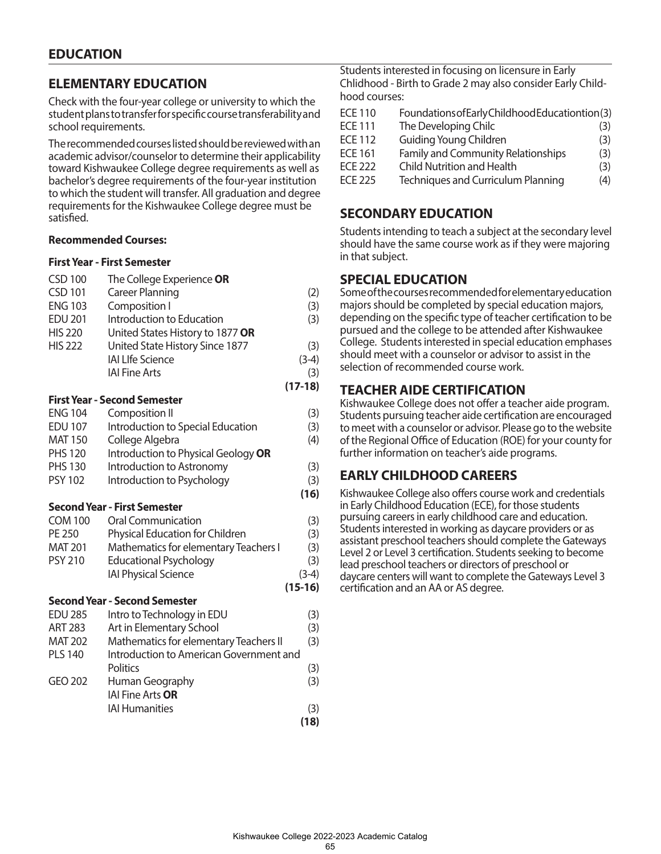# **ELEMENTARY EDUCATION**

Check with the four-year college or university to which the student plans to transfer for specific course transferability and school requirements.

The recommended courses listed should be reviewed with an academic advisor/counselor to determine their applicability toward Kishwaukee College degree requirements as well as bachelor's degree requirements of the four-year institution to which the student will transfer. All graduation and degree requirements for the Kishwaukee College degree must be satisfied.

### **Recommended Courses:**

#### **First Year - First Semester**

| <b>CSD 100</b> | The College Experience OR        |           |
|----------------|----------------------------------|-----------|
| <b>CSD 101</b> | <b>Career Planning</b>           | (2)       |
| <b>ENG 103</b> | Composition I                    | (3)       |
| <b>EDU 201</b> | Introduction to Education        | (3)       |
| <b>HIS 220</b> | United States History to 1877 OR |           |
| <b>HIS 222</b> | United State History Since 1877  | (3)       |
|                | <b>IAI LIfe Science</b>          | $(3-4)$   |
|                | <b>IAI Fine Arts</b>             | (3)       |
|                |                                  | $(17-18)$ |

## **First Year - Second Semester**

| <b>ENG 104</b> | Composition II                                            | (3)        |
|----------------|-----------------------------------------------------------|------------|
| <b>EDU 107</b> | Introduction to Special Education                         | (3)        |
| <b>MAT 150</b> | College Algebra                                           | (4)        |
| <b>PHS 120</b> | Introduction to Physical Geology OR                       |            |
| <b>PHS 130</b> | Introduction to Astronomy                                 | (3)        |
| <b>PSY 102</b> | Introduction to Psychology                                | (3)        |
|                |                                                           | (16)       |
|                | <b>Second Year - First Semester</b>                       |            |
| <b>COM 100</b> | Oral Communication                                        | (3)        |
| PE 250         | Physical Education for Children                           | (3)        |
| <b>MAT 201</b> | Mathematics for elementary Teachers I                     | (3)        |
| <b>PSY 210</b> | <b>Educational Psychology</b>                             | (3)        |
|                | <b>IAI Physical Science</b>                               | $(3-4)$    |
|                |                                                           | $(15-16)$  |
|                | <b>Second Year - Second Semester</b>                      |            |
|                | $F \cap H \cap \cap F$ . The set of the set of $F \cap H$ | $\sqrt{2}$ |

| <b>EDU 285</b> | Intro to Technology in EDU              | (3)  |
|----------------|-----------------------------------------|------|
| <b>ART 283</b> | Art in Elementary School                | (3)  |
| <b>MAT 202</b> | Mathematics for elementary Teachers II  | (3)  |
| <b>PLS 140</b> | Introduction to American Government and |      |
|                | <b>Politics</b>                         | (3)  |
| GEO 202        | Human Geography                         | (3)  |
|                | IAI Fine Arts OR                        |      |
|                | <b>IAI Humanities</b>                   | (3)  |
|                |                                         | (18) |

Students interested in focusing on licensure in Early Chlidhood - Birth to Grade 2 may also consider Early Childhood courses:

| <b>ECE 110</b> | Foundations of Early Childhood Educationtion (3) |     |
|----------------|--------------------------------------------------|-----|
| <b>ECE 111</b> | The Developing Chilc                             | (3) |
| <b>ECE 112</b> | <b>Guiding Young Children</b>                    | (3) |
| <b>ECE 161</b> | <b>Family and Community Relationships</b>        | (3) |
| FCF 222        | Child Nutrition and Health                       | (3) |
| <b>ECE 225</b> | <b>Techniques and Curriculum Planning</b>        | (4) |

# **SECONDARY EDUCATION**

Students intending to teach a subject at the secondary level should have the same course work as if they were majoring in that subject.

# **SPECIAL EDUCATION**

Some of the courses recommended for elementary education majors should be completed by special education majors, depending on the specific type of teacher certification to be pursued and the college to be attended after Kishwaukee College. Students interested in special education emphases should meet with a counselor or advisor to assist in the selection of recommended course work.

# **TEACHER AIDE CERTIFICATION**

Kishwaukee College does not offer a teacher aide program. Students pursuing teacher aide certification are encouraged to meet with a counselor or advisor. Please go to the website of the Regional Office of Education (ROE) for your county for further information on teacher's aide programs.

# **EARLY CHILDHOOD CAREERS**

Kishwaukee College also offers course work and credentials in Early Childhood Education (ECE), for those students pursuing careers in early childhood care and education. Students interested in working as daycare providers or as assistant preschool teachers should complete the Gateways Level 2 or Level 3 certification. Students seeking to become lead preschool teachers or directors of preschool or daycare centers will want to complete the Gateways Level 3 certification and an AA or AS degree.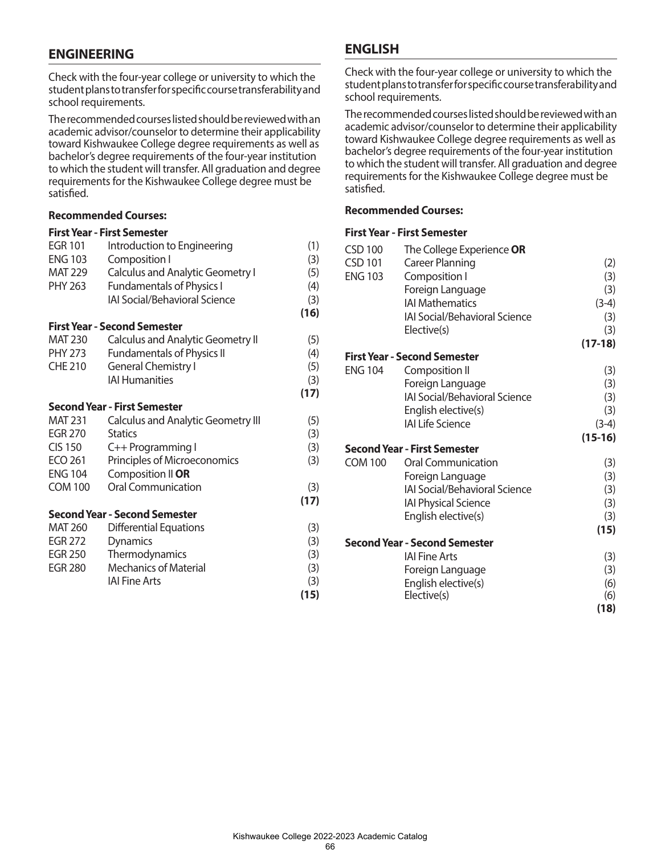# **ENGINEERING**

Check with the four-year college or university to which the student plans to transfer for specific course transferability and school requirements.

The recommended courses listed should be reviewed with an academic advisor/counselor to determine their applicability toward Kishwaukee College degree requirements as well as bachelor's degree requirements of the four-year institution to which the student will transfer. All graduation and degree requirements for the Kishwaukee College degree must be satisfied.

## **Recommended Courses:**

## **First Year - First Semester**

| <b>EGR 101</b> | Introduction to Engineering               | (1)  |
|----------------|-------------------------------------------|------|
| <b>ENG 103</b> | Composition I                             | (3)  |
| <b>MAT 229</b> | Calculus and Analytic Geometry I          | (5)  |
| PHY 263        | <b>Fundamentals of Physics I</b>          | (4)  |
|                | <b>IAI Social/Behavioral Science</b>      | (3)  |
|                |                                           | (16) |
|                | <b>First Year - Second Semester</b>       |      |
| <b>MAT 230</b> | <b>Calculus and Analytic Geometry II</b>  | (5)  |
| <b>PHY 273</b> | <b>Fundamentals of Physics II</b>         | (4)  |
| <b>CHE 210</b> | <b>General Chemistry I</b>                | (5)  |
|                | <b>IAI Humanities</b>                     | (3)  |
|                |                                           | (17) |
|                | <b>Second Year - First Semester</b>       |      |
| <b>MAT 231</b> | <b>Calculus and Analytic Geometry III</b> | (5)  |
| <b>EGR 270</b> | <b>Statics</b>                            | (3)  |
| <b>CIS 150</b> | C++ Programming I                         | (3)  |
| ECO 261        | Principles of Microeconomics              | (3)  |
| <b>ENG 104</b> | Composition II OR                         |      |
| <b>COM 100</b> | Oral Communication                        | (3)  |
|                |                                           | (17) |
|                | <b>Second Year - Second Semester</b>      |      |
| <b>MAT 260</b> | <b>Differential Equations</b>             | (3)  |
| <b>EGR 272</b> | <b>Dynamics</b>                           | (3)  |
| <b>EGR 250</b> | Thermodynamics                            | (3)  |
| <b>EGR 280</b> | <b>Mechanics of Material</b>              | (3)  |
|                | <b>IAI Fine Arts</b>                      | (3)  |
|                |                                           | (15) |
|                |                                           |      |

# **ENGLISH**

Check with the four-year college or university to which the student plans to transfer for specific course transferability and school requirements.

The recommended courses listed should be reviewed with an academic advisor/counselor to determine their applicability toward Kishwaukee College degree requirements as well as bachelor's degree requirements of the four-year institution to which the student will transfer. All graduation and degree requirements for the Kishwaukee College degree must be satisfied.

#### **Recommended Courses:**

| <b>CSD 100</b> | The College Experience OR            |           |
|----------------|--------------------------------------|-----------|
| <b>CSD 101</b> | <b>Career Planning</b>               | (2)       |
| <b>ENG 103</b> | Composition I                        | (3)       |
|                | Foreign Language                     | (3)       |
|                | <b>IAI Mathematics</b>               | $(3-4)$   |
|                | <b>IAI Social/Behavioral Science</b> | (3)       |
|                | Elective(s)                          | (3)       |
|                |                                      | $(17-18)$ |
|                | <b>First Year - Second Semester</b>  |           |
| <b>ENG 104</b> | Composition II                       | (3)       |
|                | Foreign Language                     | (3)       |
|                | IAI Social/Behavioral Science        | (3)       |
|                | English elective(s)                  | (3)       |
|                | <b>IAI Life Science</b>              | $(3-4)$   |
|                |                                      | $(15-16)$ |
|                | <b>Second Year - First Semester</b>  |           |
| <b>COM 100</b> | Oral Communication                   | (3)       |
|                | Foreign Language                     | (3)       |
|                | <b>IAI Social/Behavioral Science</b> | (3)       |
|                | <b>IAI Physical Science</b>          | (3)       |
|                | English elective(s)                  | (3)       |
|                |                                      | (15)      |
|                | <b>Second Year - Second Semester</b> |           |
|                | <b>IAI Fine Arts</b>                 | (3)       |
|                | Foreign Language                     | (3)       |
|                | English elective(s)                  | (6)       |
|                | Elective(s)                          | (6)       |
|                |                                      | (18)      |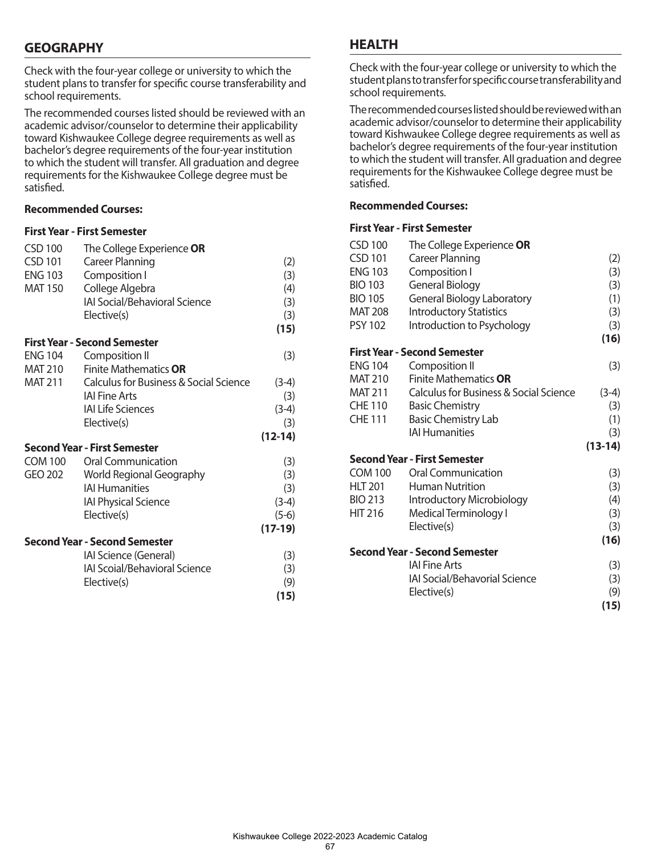# **GEOGRAPHY**

Check with the four-year college or university to which the student plans to transfer for specific course transferability and school requirements.

The recommended courses listed should be reviewed with an academic advisor/counselor to determine their applicability toward Kishwaukee College degree requirements as well as bachelor's degree requirements of the four-year institution to which the student will transfer. All graduation and degree requirements for the Kishwaukee College degree must be satisfied.

## **Recommended Courses:**

## **First Year - First Semester**

|                | The College Experience OR                                |             |
|----------------|----------------------------------------------------------|-------------|
| <b>CSD 101</b> | Career Planning                                          | (2)         |
| <b>ENG 103</b> | Composition I                                            | (3)         |
| <b>MAT 150</b> | College Algebra                                          | (4)         |
|                | IAI Social/Behavioral Science                            | (3)         |
|                | Elective(s)                                              | (3)         |
|                |                                                          | (15)        |
|                | <b>First Year - Second Semester</b>                      |             |
|                |                                                          |             |
| <b>ENG 104</b> | Composition II                                           | (3)         |
| MAT 210        | <b>Finite Mathematics OR</b>                             |             |
| <b>MAT 211</b> | Calculus for Business & Social Science                   | $(3-4)$     |
|                | <b>IAI Fine Arts</b>                                     | (3)         |
|                | <b>IAI Life Sciences</b>                                 | $(3-4)$     |
|                | Elective(s)                                              | (3)         |
|                |                                                          | $(12-14)$   |
|                | <b>Second Year - First Semester</b>                      |             |
|                |                                                          |             |
| <b>COM 100</b> | <b>Oral Communication</b>                                | (3)         |
| GEO 202        |                                                          |             |
|                | <b>World Regional Geography</b><br><b>IAI Humanities</b> | (3)         |
|                |                                                          | (3)         |
|                | <b>IAI Physical Science</b>                              | $(3-4)$     |
|                | Elective(s)                                              | $(5-6)$     |
|                |                                                          | $(17-19)$   |
|                | <b>Second Year - Second Semester</b>                     |             |
|                | IAI Science (General)                                    | (3)         |
|                | <b>IAI Scoial/Behavioral Science</b>                     | (3)         |
|                | Elective(s)                                              | (9)<br>(15) |

## **HEALTH**

Check with the four-year college or university to which the student plans to transfer for specific course transferability and school requirements.

The recommended courses listed should be reviewed with an academic advisor/counselor to determine their applicability toward Kishwaukee College degree requirements as well as bachelor's degree requirements of the four-year institution to which the student will transfer. All graduation and degree requirements for the Kishwaukee College degree must be satisfied.

#### **Recommended Courses:**

| <b>CSD 100</b> | The College Experience OR              |           |
|----------------|----------------------------------------|-----------|
| <b>CSD 101</b> | <b>Career Planning</b>                 | (2)       |
| <b>ENG 103</b> | Composition I                          | (3)       |
| <b>BIO 103</b> | General Biology                        | (3)       |
| <b>BIO 105</b> | <b>General Biology Laboratory</b>      | (1)       |
| <b>MAT 208</b> | <b>Introductory Statistics</b>         | (3)       |
| <b>PSY 102</b> | Introduction to Psychology             | (3)       |
|                |                                        | (16)      |
|                | <b>First Year - Second Semester</b>    |           |
| <b>ENG 104</b> | Composition II                         | (3)       |
| <b>MAT 210</b> | <b>Finite Mathematics OR</b>           |           |
| <b>MAT 211</b> | Calculus for Business & Social Science | $(3-4)$   |
| <b>CHE 110</b> | <b>Basic Chemistry</b>                 | (3)       |
| <b>CHE 111</b> | <b>Basic Chemistry Lab</b>             | (1)       |
|                | <b>IAI Humanities</b>                  | (3)       |
|                |                                        | $(13-14)$ |
|                | Second Year - First Semester           |           |
| <b>COM 100</b> | <b>Oral Communication</b>              | (3)       |
| <b>HLT 201</b> | <b>Human Nutrition</b>                 | (3)       |
| <b>BIO 213</b> | Introductory Microbiology              | (4)       |
| <b>HIT 216</b> | Medical Terminology I                  | (3)       |
|                | Elective(s)                            | (3)       |
|                |                                        | (16)      |
|                | <b>Second Year - Second Semester</b>   |           |
|                | <b>IAI Fine Arts</b>                   | (3)       |
|                | <b>IAI Social/Behavorial Science</b>   | (3)       |
|                | Elective(s)                            | (9)       |
|                |                                        | (15)      |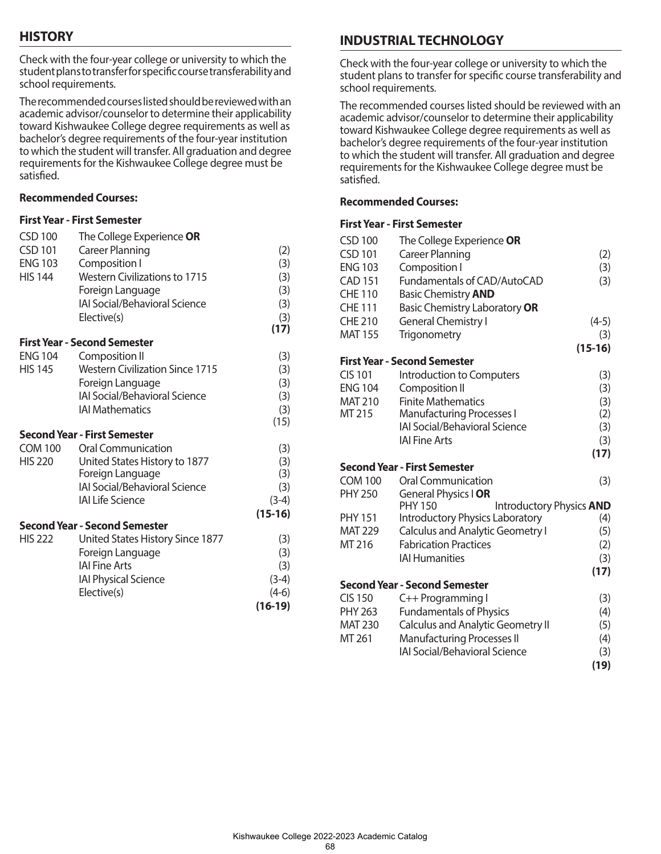# **HISTORY**

Check with the four-year college or university to which the student plans to transfer for specific course transferability and school requirements.

The recommended courses listed should be reviewed with an academic advisor/counselor to determine their applicability toward Kishwaukee College degree requirements as well as bachelor's degree requirements of the four-year institution to which the student will transfer. All graduation and degree requirements for the Kishwaukee College degree must be satisfied.

## **Recommended Courses:**

## **First Year - First Semester**

| <b>CSD 101</b><br><b>Career Planning</b><br>Composition I<br><b>ENG 103</b><br><b>Western Civilizations to 1715</b><br><b>HIS 144</b><br>Foreign Language<br>IAI Social/Behavioral Science<br>Elective(s)<br><b>First Year - Second Semester</b><br><b>ENG 104</b><br>Composition II<br><b>HIS 145</b><br><b>Western Civilization Since 1715</b><br>Foreign Language<br><b>IAI Social/Behavioral Science</b><br><b>IAI Mathematics</b><br><b>Second Year - First Semester</b><br>COM 100<br><b>Oral Communication</b><br><b>HIS 220</b><br>United States History to 1877<br>Foreign Language<br>IAI Social/Behavioral Science<br><b>IAI Life Science</b><br><b>Second Year - Second Semester</b><br><b>HIS 222</b><br>United States History Since 1877<br>Foreign Language<br><b>IAI Fine Arts</b><br><b>IAI Physical Science</b><br>Elective(s) | <b>CSD 100</b> | The College Experience OR |           |
|--------------------------------------------------------------------------------------------------------------------------------------------------------------------------------------------------------------------------------------------------------------------------------------------------------------------------------------------------------------------------------------------------------------------------------------------------------------------------------------------------------------------------------------------------------------------------------------------------------------------------------------------------------------------------------------------------------------------------------------------------------------------------------------------------------------------------------------------------|----------------|---------------------------|-----------|
|                                                                                                                                                                                                                                                                                                                                                                                                                                                                                                                                                                                                                                                                                                                                                                                                                                                  |                |                           | (2)       |
|                                                                                                                                                                                                                                                                                                                                                                                                                                                                                                                                                                                                                                                                                                                                                                                                                                                  |                |                           | (3)       |
|                                                                                                                                                                                                                                                                                                                                                                                                                                                                                                                                                                                                                                                                                                                                                                                                                                                  |                |                           | (3)       |
|                                                                                                                                                                                                                                                                                                                                                                                                                                                                                                                                                                                                                                                                                                                                                                                                                                                  |                |                           | (3)       |
|                                                                                                                                                                                                                                                                                                                                                                                                                                                                                                                                                                                                                                                                                                                                                                                                                                                  |                |                           | (3)       |
|                                                                                                                                                                                                                                                                                                                                                                                                                                                                                                                                                                                                                                                                                                                                                                                                                                                  |                |                           | (3)       |
|                                                                                                                                                                                                                                                                                                                                                                                                                                                                                                                                                                                                                                                                                                                                                                                                                                                  |                |                           | (17)      |
|                                                                                                                                                                                                                                                                                                                                                                                                                                                                                                                                                                                                                                                                                                                                                                                                                                                  |                |                           |           |
|                                                                                                                                                                                                                                                                                                                                                                                                                                                                                                                                                                                                                                                                                                                                                                                                                                                  |                |                           | (3)       |
|                                                                                                                                                                                                                                                                                                                                                                                                                                                                                                                                                                                                                                                                                                                                                                                                                                                  |                |                           | (3)       |
|                                                                                                                                                                                                                                                                                                                                                                                                                                                                                                                                                                                                                                                                                                                                                                                                                                                  |                |                           | (3)       |
|                                                                                                                                                                                                                                                                                                                                                                                                                                                                                                                                                                                                                                                                                                                                                                                                                                                  |                |                           | (3)       |
|                                                                                                                                                                                                                                                                                                                                                                                                                                                                                                                                                                                                                                                                                                                                                                                                                                                  |                |                           | (3)       |
|                                                                                                                                                                                                                                                                                                                                                                                                                                                                                                                                                                                                                                                                                                                                                                                                                                                  |                |                           | (15)      |
|                                                                                                                                                                                                                                                                                                                                                                                                                                                                                                                                                                                                                                                                                                                                                                                                                                                  |                |                           |           |
|                                                                                                                                                                                                                                                                                                                                                                                                                                                                                                                                                                                                                                                                                                                                                                                                                                                  |                |                           | (3)       |
|                                                                                                                                                                                                                                                                                                                                                                                                                                                                                                                                                                                                                                                                                                                                                                                                                                                  |                |                           | (3)       |
|                                                                                                                                                                                                                                                                                                                                                                                                                                                                                                                                                                                                                                                                                                                                                                                                                                                  |                |                           | (3)       |
|                                                                                                                                                                                                                                                                                                                                                                                                                                                                                                                                                                                                                                                                                                                                                                                                                                                  |                |                           | (3)       |
|                                                                                                                                                                                                                                                                                                                                                                                                                                                                                                                                                                                                                                                                                                                                                                                                                                                  |                |                           | $(3-4)$   |
|                                                                                                                                                                                                                                                                                                                                                                                                                                                                                                                                                                                                                                                                                                                                                                                                                                                  |                |                           | $(15-16)$ |
|                                                                                                                                                                                                                                                                                                                                                                                                                                                                                                                                                                                                                                                                                                                                                                                                                                                  |                |                           |           |
|                                                                                                                                                                                                                                                                                                                                                                                                                                                                                                                                                                                                                                                                                                                                                                                                                                                  |                |                           | (3)       |
|                                                                                                                                                                                                                                                                                                                                                                                                                                                                                                                                                                                                                                                                                                                                                                                                                                                  |                |                           | (3)       |
|                                                                                                                                                                                                                                                                                                                                                                                                                                                                                                                                                                                                                                                                                                                                                                                                                                                  |                |                           | (3)       |
|                                                                                                                                                                                                                                                                                                                                                                                                                                                                                                                                                                                                                                                                                                                                                                                                                                                  |                |                           | $(3-4)$   |
|                                                                                                                                                                                                                                                                                                                                                                                                                                                                                                                                                                                                                                                                                                                                                                                                                                                  |                |                           | $(4-6)$   |
|                                                                                                                                                                                                                                                                                                                                                                                                                                                                                                                                                                                                                                                                                                                                                                                                                                                  |                |                           | (16-19)   |

# **INDUSTRIAL TECHNOLOGY**

Check with the four-year college or university to which the student plans to transfer for specific course transferability and school requirements.

The recommended courses listed should be reviewed with an academic advisor/counselor to determine their applicability toward Kishwaukee College degree requirements as well as bachelor's degree requirements of the four-year institution to which the student will transfer. All graduation and degree requirements for the Kishwaukee College degree must be satisfied.

### **Recommended Courses:**

| <b>CSD 100</b>                   | The College Experience OR                                                 |           |
|----------------------------------|---------------------------------------------------------------------------|-----------|
| <b>CSD 101</b>                   | <b>Career Planning</b>                                                    | (2)       |
| <b>ENG 103</b>                   | Composition I                                                             | (3)       |
| <b>CAD 151</b>                   | Fundamentals of CAD/AutoCAD                                               | (3)       |
| <b>CHE 110</b>                   | <b>Basic Chemistry AND</b>                                                |           |
| <b>CHE 111</b>                   | Basic Chemistry Laboratory OR                                             |           |
| <b>CHE 210</b>                   | <b>General Chemistry I</b>                                                | $(4-5)$   |
| <b>MAT 155</b>                   | <b>Trigonometry</b>                                                       | (3)       |
|                                  |                                                                           | $(15-16)$ |
|                                  | <b>First Year - Second Semester</b>                                       |           |
| <b>CIS 101</b>                   | Introduction to Computers                                                 | (3)       |
| <b>ENG 104</b>                   | Composition II                                                            | (3)       |
| <b>MAT 210</b>                   | <b>Finite Mathematics</b>                                                 | (3)       |
| MT 215                           | <b>Manufacturing Processes I</b>                                          | (2)       |
|                                  | IAI Social/Behavioral Science                                             | (3)       |
|                                  | <b>IAI Fine Arts</b>                                                      | (3)       |
|                                  |                                                                           | (17)      |
|                                  | <b>Second Year - First Semester</b>                                       |           |
| <b>COM 100</b>                   | Oral Communication                                                        | (3)       |
| <b>PHY 250</b>                   | General Physics I OR                                                      |           |
|                                  | <b>PHY 150</b><br>Introductory Physics AND                                |           |
| <b>PHY 151</b>                   | Introductory Physics Laboratory                                           | (4)       |
| <b>MAT 229</b>                   | <b>Calculus and Analytic Geometry I</b>                                   | (5)       |
| MT 216                           | <b>Fabrication Practices</b>                                              | (2)       |
|                                  | <b>IAI Humanities</b>                                                     | (3)       |
|                                  |                                                                           | (17)      |
|                                  | <b>Second Year - Second Semester</b>                                      |           |
| <b>CIS 150</b><br><b>PHY 263</b> | C++ Programming I                                                         | (3)       |
|                                  | <b>Fundamentals of Physics</b>                                            | (4)       |
| <b>MAT 230</b><br>MT 261         | <b>Calculus and Analytic Geometry II</b>                                  | (5)       |
|                                  | <b>Manufacturing Processes II</b><br><b>IAI Social/Behavioral Science</b> | (4)       |
|                                  |                                                                           | (3)       |
|                                  |                                                                           | (19)      |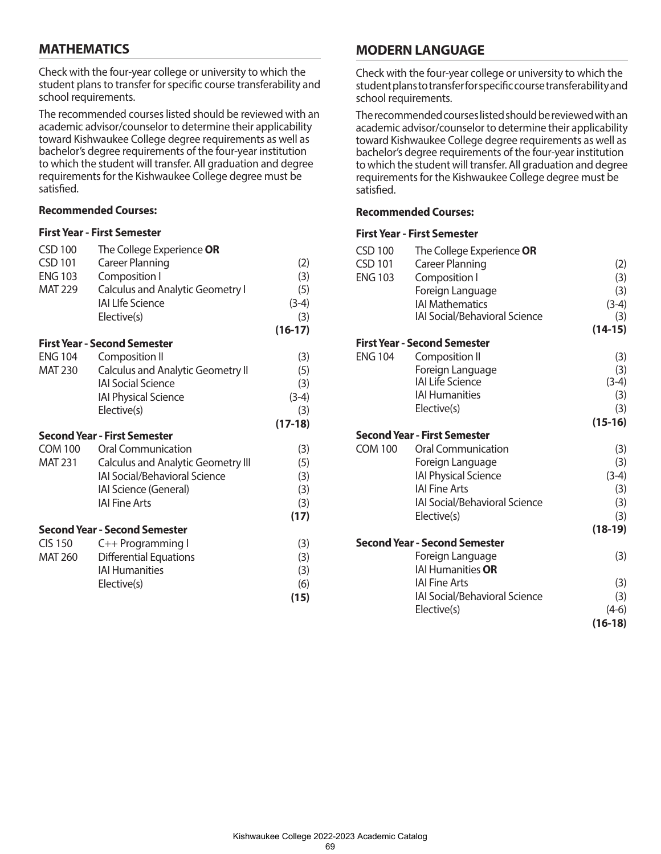# **MATHEMATICS**

Check with the four-year college or university to which the student plans to transfer for specific course transferability and school requirements.

The recommended courses listed should be reviewed with an academic advisor/counselor to determine their applicability toward Kishwaukee College degree requirements as well as bachelor's degree requirements of the four-year institution to which the student will transfer. All graduation and degree requirements for the Kishwaukee College degree must be satisfied.

### **Recommended Courses:**

#### **First Year - First Semester**

| <b>CSD 100</b> | The College Experience OR                 |           |
|----------------|-------------------------------------------|-----------|
| <b>CSD 101</b> | <b>Career Planning</b>                    | (2)       |
| <b>ENG 103</b> | Composition I                             | (3)       |
| <b>MAT 229</b> | <b>Calculus and Analytic Geometry I</b>   | (5)       |
|                | <b>IAI LIfe Science</b>                   | $(3-4)$   |
|                | Elective(s)                               | (3)       |
|                |                                           | $(16-17)$ |
|                | <b>First Year - Second Semester</b>       |           |
| <b>ENG 104</b> | Composition II                            | (3)       |
| <b>MAT 230</b> | <b>Calculus and Analytic Geometry II</b>  | (5)       |
|                | <b>IAI Social Science</b>                 | (3)       |
|                | <b>IAI Physical Science</b>               | $(3-4)$   |
|                | Elective(s)                               | (3)       |
|                |                                           | $(17-18)$ |
|                | <b>Second Year - First Semester</b>       |           |
| <b>COM 100</b> | <b>Oral Communication</b>                 | (3)       |
| <b>MAT 231</b> | <b>Calculus and Analytic Geometry III</b> | (5)       |
|                | IAI Social/Behavioral Science             | (3)       |
|                | IAI Science (General)                     | (3)       |
|                | IAI Fine Arts                             | (3)       |
|                |                                           | (17)      |
|                | <b>Second Year - Second Semester</b>      |           |
| <b>CIS 150</b> | C++ Programming I                         | (3)       |
| <b>MAT 260</b> | <b>Differential Equations</b>             | (3)       |
|                | <b>IAI Humanities</b>                     | (3)       |
|                | Elective(s)                               | (6)       |
|                |                                           | (15)      |
|                |                                           |           |

# **MODERN LANGUAGE**

Check with the four-year college or university to which the student plans to transfer for specific course transferability and school requirements.

The recommended courses listed should be reviewed with an academic advisor/counselor to determine their applicability toward Kishwaukee College degree requirements as well as bachelor's degree requirements of the four-year institution to which the student will transfer. All graduation and degree requirements for the Kishwaukee College degree must be satisfied.

### **Recommended Courses:**

| <b>CSD 100</b> | The College Experience OR            |           |
|----------------|--------------------------------------|-----------|
| <b>CSD 101</b> | <b>Career Planning</b>               | (2)       |
| <b>ENG 103</b> | Composition I                        | (3)       |
|                | Foreign Language                     | (3)       |
|                | <b>IAI Mathematics</b>               | $(3-4)$   |
|                | <b>IAI Social/Behavioral Science</b> | (3)       |
|                |                                      | $(14-15)$ |
|                | <b>First Year - Second Semester</b>  |           |
| <b>ENG 104</b> | Composition II                       | (3)       |
|                | Foreign Language                     | (3)       |
|                | <b>IAI Life Science</b>              | $(3-4)$   |
|                | <b>IAI Humanities</b>                | (3)       |
|                | Elective(s)                          | (3)       |
|                |                                      | $(15-16)$ |
|                | <b>Second Year - First Semester</b>  |           |
| <b>COM 100</b> | <b>Oral Communication</b>            | (3)       |
|                | Foreign Language                     | (3)       |
|                | <b>IAI Physical Science</b>          | $(3-4)$   |
|                | <b>IAI Fine Arts</b>                 | (3)       |
|                | IAI Social/Behavioral Science        | (3)       |
|                | Elective(s)                          | (3)       |
|                |                                      | $(18-19)$ |
|                | <b>Second Year - Second Semester</b> |           |
|                | Foreign Language                     | (3)       |
|                | <b>IAI Humanities OR</b>             |           |
|                | <b>IAI Fine Arts</b>                 | (3)       |
|                | <b>IAI Social/Behavioral Science</b> | (3)       |
|                | Elective(s)                          | $(4-6)$   |
|                |                                      | $(16-18)$ |
|                |                                      |           |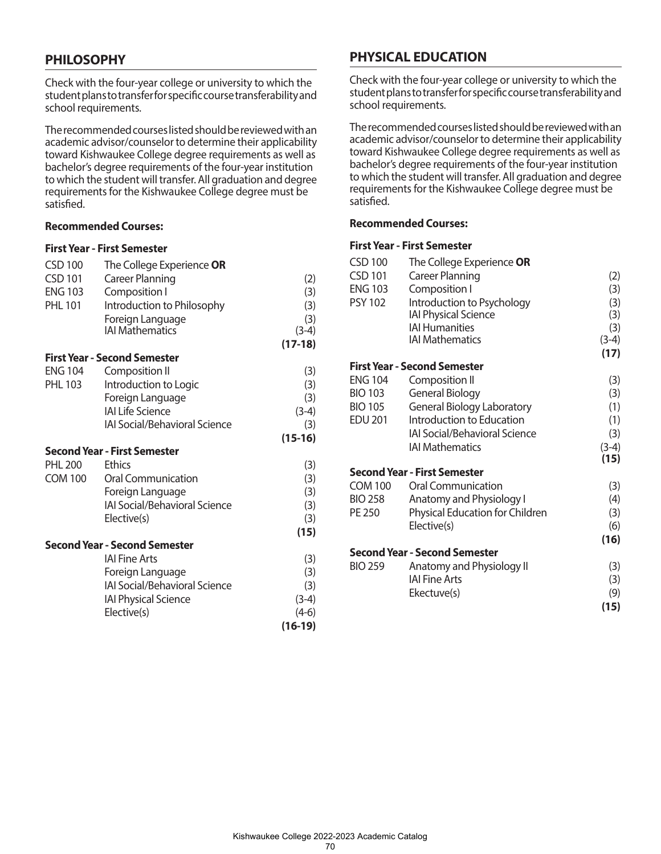# **PHILOSOPHY**

Check with the four-year college or university to which the student plans to transfer for specific course transferability and school requirements.

The recommended courses listed should be reviewed with an academic advisor/counselor to determine their applicability toward Kishwaukee College degree requirements as well as bachelor's degree requirements of the four-year institution to which the student will transfer. All graduation and degree requirements for the Kishwaukee College degree must be satisfied.

## **Recommended Courses:**

#### **First Year - First Semester**

| <b>CSD 100</b> | The College Experience OR            |           |
|----------------|--------------------------------------|-----------|
| <b>CSD 101</b> | <b>Career Planning</b>               | (2)       |
| <b>ENG 103</b> | Composition I                        | (3)       |
| <b>PHL 101</b> | Introduction to Philosophy           | (3)       |
|                | Foreign Language                     | (3)       |
|                | <b>IAI Mathematics</b>               | $(3-4)$   |
|                |                                      | $(17-18)$ |
|                | <b>First Year - Second Semester</b>  |           |
| <b>ENG 104</b> | Composition II                       | (3)       |
| <b>PHL 103</b> | Introduction to Logic                | (3)       |
|                | Foreign Language                     | (3)       |
|                | <b>IAI Life Science</b>              | $(3-4)$   |
|                | <b>IAI Social/Behavioral Science</b> | (3)       |
|                |                                      | $(15-16)$ |
|                | <b>Second Year - First Semester</b>  |           |
| <b>PHL 200</b> | <b>Ethics</b>                        | (3)       |
| <b>COM 100</b> | <b>Oral Communication</b>            | (3)       |
|                | Foreign Language                     | (3)       |
|                | <b>IAI Social/Behavioral Science</b> | (3)       |
|                | Elective(s)                          | (3)       |
|                |                                      | (15)      |
|                | <b>Second Year - Second Semester</b> |           |
|                | <b>IAI Fine Arts</b>                 | (3)       |
|                | Foreign Language                     | (3)       |
|                | IAI Social/Behavioral Science        | (3)       |
|                | <b>IAI Physical Science</b>          | $(3-4)$   |
|                | Elective(s)                          | $(4-6)$   |
|                |                                      | $(16-19)$ |

# **PHYSICAL EDUCATION**

Check with the four-year college or university to which the student plans to transfer for specific course transferability and school requirements.

The recommended courses listed should be reviewed with an academic advisor/counselor to determine their applicability toward Kishwaukee College degree requirements as well as bachelor's degree requirements of the four-year institution to which the student will transfer. All graduation and degree requirements for the Kishwaukee College degree must be satisfied.

## **Recommended Courses:**

| The College Experience OR            |                                                                                                                                                                |
|--------------------------------------|----------------------------------------------------------------------------------------------------------------------------------------------------------------|
|                                      | (2)                                                                                                                                                            |
|                                      | (3)                                                                                                                                                            |
|                                      | (3)                                                                                                                                                            |
| <b>IAI Physical Science</b>          | (3)                                                                                                                                                            |
| <b>IAI Humanities</b>                | (3)                                                                                                                                                            |
| <b>IAI Mathematics</b>               | $(3-4)$                                                                                                                                                        |
|                                      | (17)                                                                                                                                                           |
| <b>First Year - Second Semester</b>  |                                                                                                                                                                |
| Composition II                       | (3)                                                                                                                                                            |
| General Biology                      | (3)                                                                                                                                                            |
| <b>General Biology Laboratory</b>    | (1)                                                                                                                                                            |
| Introduction to Education            | (1)                                                                                                                                                            |
| <b>IAI Social/Behavioral Science</b> | (3)                                                                                                                                                            |
| <b>IAI Mathematics</b>               | $(3-4)$                                                                                                                                                        |
|                                      | (15)                                                                                                                                                           |
| Second Year - First Semester         |                                                                                                                                                                |
|                                      | (3)                                                                                                                                                            |
|                                      | (4)                                                                                                                                                            |
| Physical Education for Children      | (3)                                                                                                                                                            |
|                                      | (6)                                                                                                                                                            |
|                                      | (16)                                                                                                                                                           |
| <b>Second Year - Second Semester</b> |                                                                                                                                                                |
| Anatomy and Physiology II            | (3)                                                                                                                                                            |
|                                      | (3)                                                                                                                                                            |
| Ekectuve(s)                          | (9)                                                                                                                                                            |
|                                      | (15)                                                                                                                                                           |
|                                      | Career Planning<br>Composition I<br>Introduction to Psychology<br><b>Oral Communication</b><br>Anatomy and Physiology I<br>Elective(s)<br><b>IAI Fine Arts</b> |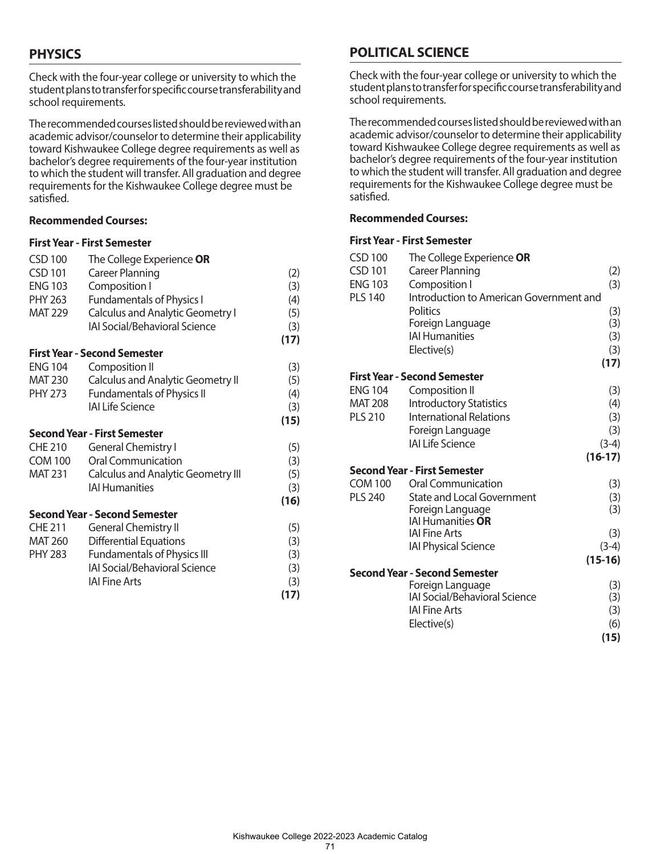# **PHYSICS**

Check with the four-year college or university to which the student plans to transfer for specific course transferability and school requirements.

The recommended courses listed should be reviewed with an academic advisor/counselor to determine their applicability toward Kishwaukee College degree requirements as well as bachelor's degree requirements of the four-year institution to which the student will transfer. All graduation and degree requirements for the Kishwaukee College degree must be satisfied.

## **Recommended Courses:**

### **First Year - First Semester**

| <b>CSD 100</b> | The College Experience OR                 |      |
|----------------|-------------------------------------------|------|
| <b>CSD 101</b> | <b>Career Planning</b>                    | (2)  |
| <b>ENG 103</b> | Composition I                             | (3)  |
| PHY 263        | <b>Fundamentals of Physics I</b>          | (4)  |
| <b>MAT 229</b> | <b>Calculus and Analytic Geometry I</b>   | (5)  |
|                | <b>IAI Social/Behavioral Science</b>      | (3)  |
|                |                                           | (17) |
|                | <b>First Year - Second Semester</b>       |      |
| <b>ENG 104</b> | Composition II                            | (3)  |
| MAT 230        | <b>Calculus and Analytic Geometry II</b>  | (5)  |
| PHY 273        | <b>Fundamentals of Physics II</b>         | (4)  |
|                | <b>IAI Life Science</b>                   | (3)  |
|                |                                           | (15) |
|                | <b>Second Year - First Semester</b>       |      |
| <b>CHE 210</b> | <b>General Chemistry I</b>                | (5)  |
| <b>COM 100</b> | <b>Oral Communication</b>                 | (3)  |
| <b>MAT 231</b> | <b>Calculus and Analytic Geometry III</b> | (5)  |
|                | <b>IAI Humanities</b>                     | (3)  |
|                |                                           | (16) |
|                | <b>Second Year - Second Semester</b>      |      |
| <b>CHE 211</b> | <b>General Chemistry II</b>               | (5)  |
| MAT 260        | <b>Differential Equations</b>             | (3)  |
| <b>PHY 283</b> | <b>Fundamentals of Physics III</b>        | (3)  |
|                | IAI Social/Behavioral Science             | (3)  |
|                | <b>IAI Fine Arts</b>                      | (3)  |
|                |                                           | (17) |

# **POLITICAL SCIENCE**

Check with the four-year college or university to which the student plans to transfer for specific course transferability and school requirements.

The recommended courses listed should be reviewed with an academic advisor/counselor to determine their applicability toward Kishwaukee College degree requirements as well as bachelor's degree requirements of the four-year institution to which the student will transfer. All graduation and degree requirements for the Kishwaukee College degree must be satisfied.

### **Recommended Courses:**

| <b>CSD 100</b> | The College Experience OR               |           |
|----------------|-----------------------------------------|-----------|
| <b>CSD 101</b> | <b>Career Planning</b>                  | (2)       |
| <b>ENG 103</b> | Composition I                           | (3)       |
| <b>PLS 140</b> | Introduction to American Government and |           |
|                | <b>Politics</b>                         | (3)       |
|                | Foreign Language                        | (3)       |
|                | <b>IAI Humanities</b>                   | (3)       |
|                | Elective(s)                             | (3)       |
|                |                                         | (17)      |
|                | <b>First Year - Second Semester</b>     |           |
| <b>ENG 104</b> | Composition II                          | (3)       |
| <b>MAT 208</b> | <b>Introductory Statistics</b>          | (4)       |
| <b>PLS 210</b> | <b>International Relations</b>          | (3)       |
|                | Foreign Language                        | (3)       |
|                | <b>IAI Life Science</b>                 | $(3-4)$   |
|                |                                         | $(16-17)$ |
|                | <b>Second Year - First Semester</b>     |           |
| <b>COM 100</b> | <b>Oral Communication</b>               | (3)       |
| <b>PLS 240</b> | <b>State and Local Government</b>       | (3)       |
|                | Foreign Language                        | (3)       |
|                | <b>IAI Humanities OR</b>                |           |
|                | <b>IAI Fine Arts</b>                    | (3)       |
|                | <b>IAI Physical Science</b>             | $(3-4)$   |
|                |                                         | $(15-16)$ |
|                | <b>Second Year - Second Semester</b>    |           |
|                | Foreign Language                        | (3)       |
|                | <b>IAI Social/Behavioral Science</b>    | (3)       |
|                | <b>IAI Fine Arts</b>                    | (3)       |
|                | Elective(s)                             | (6)       |
|                |                                         | (15)      |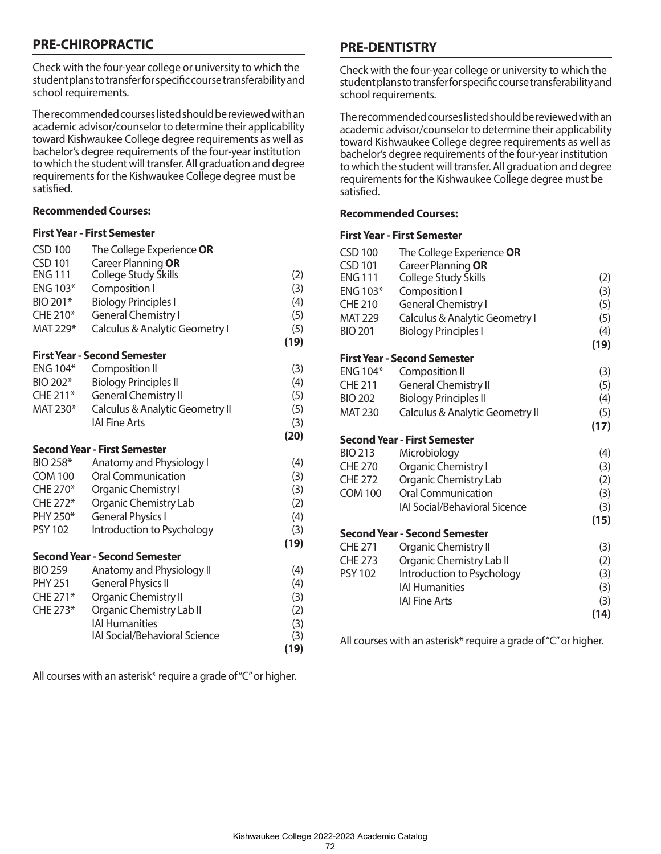# **PRE-CHIROPRACTIC**

Check with the four-year college or university to which the student plans to transfer for specific course transferability and school requirements.

The recommended courses listed should be reviewed with an academic advisor/counselor to determine their applicability toward Kishwaukee College degree requirements as well as bachelor's degree requirements of the four-year institution to which the student will transfer. All graduation and degree requirements for the Kishwaukee College degree must be satisfied.

### **Recommended Courses:**

### **First Year - First Semester**

| <b>CSD 100</b>  | The College Experience OR            |      |
|-----------------|--------------------------------------|------|
| <b>CSD 101</b>  | Career Planning OR                   |      |
| <b>ENG 111</b>  | College Study Skills                 | (2)  |
| ENG 103*        | Composition I                        | (3)  |
| BIO 201*        | <b>Biology Principles I</b>          | (4)  |
| CHE 210*        | <b>General Chemistry I</b>           | (5)  |
| MAT 229*        | Calculus & Analytic Geometry I       | (5)  |
|                 |                                      | (19) |
|                 | <b>First Year - Second Semester</b>  |      |
| <b>ENG 104*</b> | Composition II                       | (3)  |
| BIO 202*        | <b>Biology Principles II</b>         | (4)  |
| CHE 211*        | <b>General Chemistry II</b>          | (5)  |
| MAT 230*        | Calculus & Analytic Geometry II      | (5)  |
|                 | <b>IAI Fine Arts</b>                 | (3)  |
|                 |                                      | (20) |
|                 | <b>Second Year - First Semester</b>  |      |
| BIO 258*        | Anatomy and Physiology I             | (4)  |
| <b>COM 100</b>  | <b>Oral Communication</b>            | (3)  |
| CHE 270*        | Organic Chemistry I                  | (3)  |
| CHE 272*        | <b>Organic Chemistry Lab</b>         | (2)  |
| PHY 250*        | <b>General Physics I</b>             | (4)  |
| <b>PSY 102</b>  | Introduction to Psychology           | (3)  |
|                 |                                      | (19) |
|                 | <b>Second Year - Second Semester</b> |      |
| <b>BIO 259</b>  | Anatomy and Physiology II            | (4)  |
| <b>PHY 251</b>  | <b>General Physics II</b>            | (4)  |
| CHE 271*        | Organic Chemistry II                 | (3)  |
| CHE 273*        | Organic Chemistry Lab II             | (2)  |
|                 | <b>IAI Humanities</b>                | (3)  |
|                 | <b>IAI Social/Behavioral Science</b> | (3)  |
|                 |                                      | (19) |

All courses with an asterisk\* require a grade of "C" or higher.

# **PRE-DENTISTRY**

Check with the four-year college or university to which the student plans to transfer for specific course transferability and school requirements.

The recommended courses listed should be reviewed with an academic advisor/counselor to determine their applicability toward Kishwaukee College degree requirements as well as bachelor's degree requirements of the four-year institution to which the student will transfer. All graduation and degree requirements for the Kishwaukee College degree must be satisfied.

## **Recommended Courses:**

#### **First Year - First Semester**

| <b>CSD 100</b>  | The College Experience OR            |      |
|-----------------|--------------------------------------|------|
| <b>CSD 101</b>  | Career Planning OR                   |      |
| <b>ENG 111</b>  | College Study Skills                 | (2)  |
| ENG 103*        | Composition I                        | (3)  |
| <b>CHE 210</b>  | <b>General Chemistry I</b>           | (5)  |
| <b>MAT 229</b>  | Calculus & Analytic Geometry I       | (5)  |
| <b>BIO 201</b>  | <b>Biology Principles I</b>          | (4)  |
|                 |                                      | (19) |
|                 | <b>First Year - Second Semester</b>  |      |
| <b>ENG 104*</b> | Composition II                       | (3)  |
| <b>CHE 211</b>  | <b>General Chemistry II</b>          | (5)  |
| <b>BIO 202</b>  | <b>Biology Principles II</b>         | (4)  |
| <b>MAT 230</b>  | Calculus & Analytic Geometry II      | (5)  |
|                 |                                      | (17) |
|                 | <b>Second Year - First Semester</b>  |      |
| <b>BIO 213</b>  | Microbiology                         | (4)  |
| <b>CHE 270</b>  | Organic Chemistry I                  | (3)  |
| <b>CHE 272</b>  | Organic Chemistry Lab                | (2)  |
| <b>COM 100</b>  | <b>Oral Communication</b>            | (3)  |
|                 | <b>IAI Social/Behavioral Sicence</b> | (3)  |
|                 |                                      | (15) |
|                 | Second Year - Second Semester        |      |
| <b>CHE 271</b>  | Organic Chemistry II                 | (3)  |
| <b>CHE 273</b>  | Organic Chemistry Lab II             | (2)  |
| <b>PSY 102</b>  | Introduction to Psychology           | (3)  |
|                 | <b>IAI Humanities</b>                | (3)  |
|                 | <b>IAI Fine Arts</b>                 | (3)  |
|                 |                                      | (14) |

All courses with an asterisk\* require a grade of "C" or higher.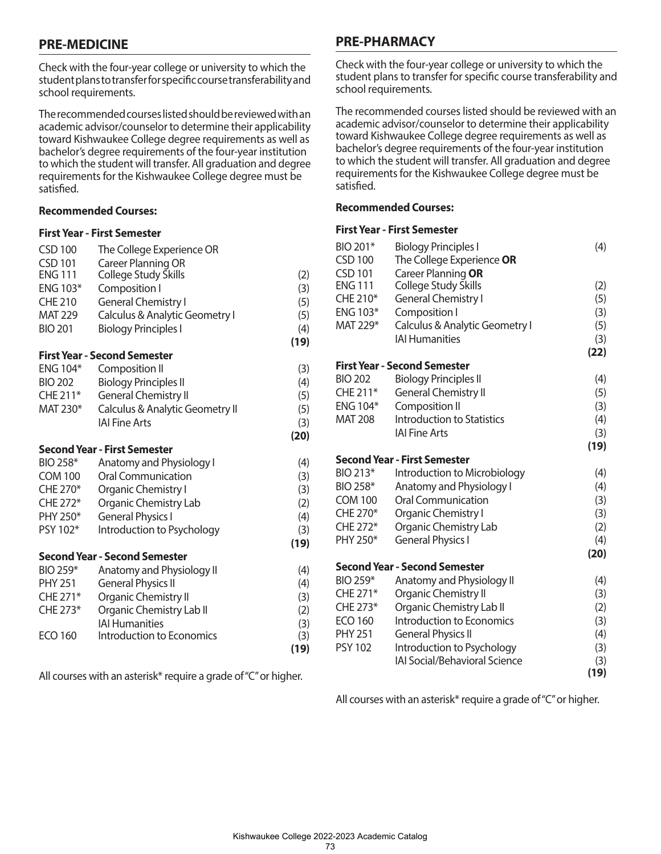# **PRE-MEDICINE**

Check with the four-year college or university to which the student plans to transfer for specific course transferability and school requirements.

The recommended courses listed should be reviewed with an academic advisor/counselor to determine their applicability toward Kishwaukee College degree requirements as well as bachelor's degree requirements of the four-year institution to which the student will transfer. All graduation and degree requirements for the Kishwaukee College degree must be satisfied.

### **Recommended Courses:**

#### **First Year - First Semester**

| <b>CSD 100</b>  | The College Experience OR            |      |
|-----------------|--------------------------------------|------|
| <b>CSD 101</b>  | Career Planning OR                   |      |
| <b>ENG 111</b>  | College Study Skills                 | (2)  |
| <b>ENG 103*</b> | Composition I                        | (3)  |
| <b>CHE 210</b>  | <b>General Chemistry I</b>           | (5)  |
| <b>MAT 229</b>  | Calculus & Analytic Geometry I       | (5)  |
| <b>BIO 201</b>  | <b>Biology Principles I</b>          | (4)  |
|                 |                                      | (19) |
|                 | <b>First Year - Second Semester</b>  |      |
| <b>ENG 104*</b> | <b>Composition II</b>                | (3)  |
| <b>BIO 202</b>  | <b>Biology Principles II</b>         | (4)  |
| CHE 211*        | <b>General Chemistry II</b>          | (5)  |
| MAT 230*        | Calculus & Analytic Geometry II      | (5)  |
|                 | <b>IAI Fine Arts</b>                 | (3)  |
|                 |                                      | (20) |
|                 | <b>Second Year - First Semester</b>  |      |
| BIO 258*        | Anatomy and Physiology I             | (4)  |
| <b>COM 100</b>  | <b>Oral Communication</b>            | (3)  |
| CHE 270*        | Organic Chemistry I                  | (3)  |
| CHE 272*        | <b>Organic Chemistry Lab</b>         | (2)  |
| PHY 250*        | <b>General Physics I</b>             | (4)  |
| PSY 102*        | Introduction to Psychology           | (3)  |
|                 |                                      | (19) |
|                 | <b>Second Year - Second Semester</b> |      |
| BIO 259*        | Anatomy and Physiology II            | (4)  |
| <b>PHY 251</b>  | <b>General Physics II</b>            | (4)  |
| CHE 271*        | Organic Chemistry II                 | (3)  |
| CHE 273*        | Organic Chemistry Lab II             | (2)  |
|                 | <b>IAI Humanities</b>                | (3)  |
| <b>ECO 160</b>  | Introduction to Economics            | (3)  |
|                 |                                      | (19) |

All courses with an asterisk\* require a grade of "C" or higher.

# **PRE-PHARMACY**

Check with the four-year college or university to which the student plans to transfer for specific course transferability and school requirements.

The recommended courses listed should be reviewed with an academic advisor/counselor to determine their applicability toward Kishwaukee College degree requirements as well as bachelor's degree requirements of the four-year institution to which the student will transfer. All graduation and degree requirements for the Kishwaukee College degree must be satisfied.

### **Recommended Courses:**

### **First Year - First Semester**

| BIO 201*<br><b>CSD 100</b> | <b>Biology Principles I</b><br>The College Experience OR | (4)  |
|----------------------------|----------------------------------------------------------|------|
| <b>CSD 101</b>             | Career Planning OR                                       |      |
| <b>ENG 111</b>             | College Study Skills                                     | (2)  |
| CHE 210*                   | <b>General Chemistry I</b>                               | (5)  |
| ENG 103*                   | Composition I                                            | (3)  |
| MAT 229*                   | Calculus & Analytic Geometry I                           | (5)  |
|                            | <b>IAI Humanities</b>                                    | (3)  |
|                            | <b>First Year - Second Semester</b>                      | (22) |
| <b>BIO 202</b>             | <b>Biology Principles II</b>                             | (4)  |
| CHE 211*                   | <b>General Chemistry II</b>                              | (5)  |
| <b>ENG 104*</b>            | Composition II                                           | (3)  |
| <b>MAT 208</b>             | <b>Introduction to Statistics</b>                        | (4)  |
|                            | <b>IAI Fine Arts</b>                                     | (3)  |
|                            |                                                          | (19) |
|                            | <b>Second Year - First Semester</b>                      |      |
| BIO 213*                   | Introduction to Microbiology                             | (4)  |
| BIO 258*                   | Anatomy and Physiology I                                 | (4)  |
| <b>COM 100</b>             | <b>Oral Communication</b>                                | (3)  |
| CHE 270*                   | Organic Chemistry I                                      | (3)  |
| CHE 272*                   | Organic Chemistry Lab                                    | (2)  |
| PHY 250*                   | <b>General Physics I</b>                                 | (4)  |
|                            |                                                          | (20) |
|                            | <b>Second Year - Second Semester</b>                     |      |
| BIO 259*                   | Anatomy and Physiology II                                | (4)  |
| CHE 271*                   | Organic Chemistry II                                     | (3)  |
| CHE 273*                   | Organic Chemistry Lab II                                 | (2)  |
| <b>ECO 160</b>             | Introduction to Economics                                | (3)  |
| <b>PHY 251</b>             | <b>General Physics II</b>                                | (4)  |
| <b>PSY 102</b>             | Introduction to Psychology                               | (3)  |
|                            | <b>IAI Social/Behavioral Science</b>                     | (3)  |
|                            |                                                          | (19) |

All courses with an asterisk\* require a grade of "C" or higher.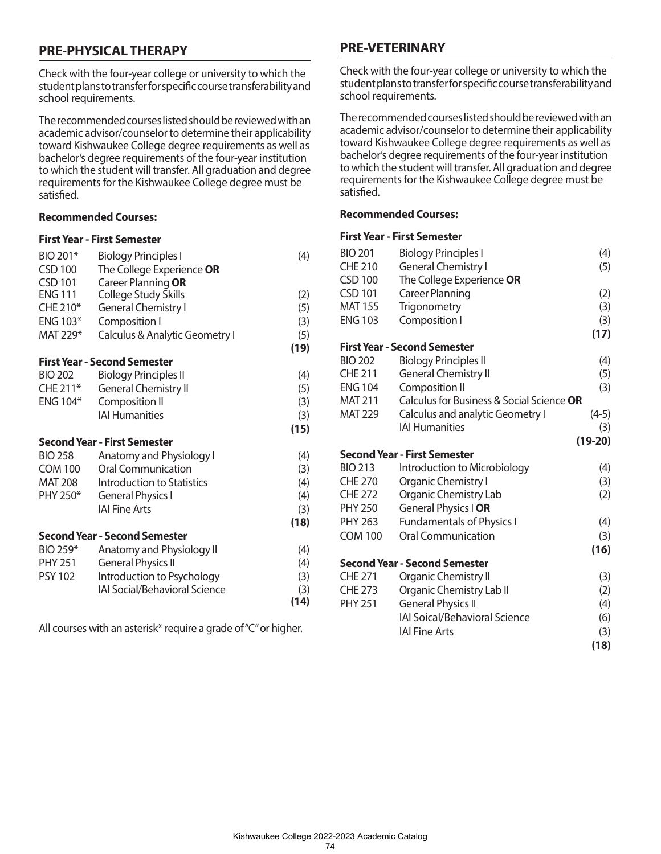# **PRE-PHYSICAL THERAPY**

Check with the four-year college or university to which the student plans to transfer for specific course transferability and school requirements.

The recommended courses listed should be reviewed with an academic advisor/counselor to determine their applicability toward Kishwaukee College degree requirements as well as bachelor's degree requirements of the four-year institution to which the student will transfer. All graduation and degree requirements for the Kishwaukee College degree must be satisfied.

#### **Recommended Courses:**

#### **First Year - First Semester**

| BIO 201*       | <b>Biology Principles I</b>          | (4)  |
|----------------|--------------------------------------|------|
| <b>CSD 100</b> | The College Experience OR            |      |
| CSD 101        | Career Planning OR                   |      |
| <b>ENG 111</b> | <b>College Study Skills</b>          | (2)  |
| CHE 210*       | <b>General Chemistry I</b>           | (5)  |
| ENG 103*       | Composition I                        | (3)  |
| MAT 229*       | Calculus & Analytic Geometry I       | (5)  |
|                |                                      | (19) |
|                | <b>First Year - Second Semester</b>  |      |
| <b>BIO 202</b> | <b>Biology Principles II</b>         | (4)  |
| CHE 211*       | <b>General Chemistry II</b>          | (5)  |
| ENG 104*       | Composition II                       | (3)  |
|                | <b>IAI Humanities</b>                | (3)  |
|                |                                      | (15) |
|                | Second Year - First Semester         |      |
| <b>BIO 258</b> | Anatomy and Physiology I             | (4)  |
| <b>COM 100</b> | <b>Oral Communication</b>            | (3)  |
| MAT 208        | <b>Introduction to Statistics</b>    | (4)  |
| PHY 250*       | <b>General Physics I</b>             | (4)  |
|                | <b>IAI Fine Arts</b>                 | (3)  |
|                |                                      | (18) |
|                | <b>Second Year - Second Semester</b> |      |
| BIO 259*       | Anatomy and Physiology II            | (4)  |
| <b>PHY 251</b> | <b>General Physics II</b>            | (4)  |
| <b>PSY 102</b> | Introduction to Psychology           | (3)  |
|                | <b>IAI Social/Behavioral Science</b> | (3)  |
|                |                                      | (14) |
|                |                                      |      |

All courses with an asterisk\* require a grade of "C" or higher.

# **PRE-VETERINARY**

Check with the four-year college or university to which the student plans to transfer for specific course transferability and school requirements.

The recommended courses listed should be reviewed with an academic advisor/counselor to determine their applicability toward Kishwaukee College degree requirements as well as bachelor's degree requirements of the four-year institution to which the student will transfer. All graduation and degree requirements for the Kishwaukee College degree must be satisfied.

# **Recommended Courses:**

| <b>BIO 201</b> | <b>Biology Principles I</b>               | (4)       |
|----------------|-------------------------------------------|-----------|
| <b>CHE 210</b> | <b>General Chemistry I</b>                | (5)       |
| <b>CSD 100</b> | The College Experience OR                 |           |
| <b>CSD 101</b> | <b>Career Planning</b>                    | (2)       |
| <b>MAT 155</b> | Trigonometry                              | (3)       |
| <b>ENG 103</b> | Composition I                             | (3)       |
|                |                                           | (17)      |
|                | <b>First Year - Second Semester</b>       |           |
| <b>BIO 202</b> | <b>Biology Principles II</b>              | (4)       |
| <b>CHE 211</b> | <b>General Chemistry II</b>               | (5)       |
| <b>ENG 104</b> | Composition II                            | (3)       |
| <b>MAT 211</b> | Calculus for Business & Social Science OR |           |
| <b>MAT 229</b> | <b>Calculus and analytic Geometry I</b>   | $(4-5)$   |
|                | <b>IAI Humanities</b>                     | (3)       |
|                |                                           | $(19-20)$ |
|                | <b>Second Year - First Semester</b>       |           |
| <b>BIO 213</b> | Introduction to Microbiology              | (4)       |
| <b>CHE 270</b> | Organic Chemistry I                       | (3)       |
| <b>CHE 272</b> | <b>Organic Chemistry Lab</b>              | (2)       |
| <b>PHY 250</b> | General Physics I OR                      |           |
| <b>PHY 263</b> | <b>Fundamentals of Physics I</b>          | (4)       |
| <b>COM 100</b> | <b>Oral Communication</b>                 | (3)       |
|                |                                           | (16)      |
|                | <b>Second Year - Second Semester</b>      |           |
| <b>CHE 271</b> | <b>Organic Chemistry II</b>               | (3)       |
| <b>CHE 273</b> | Organic Chemistry Lab II                  | (2)       |
| <b>PHY 251</b> | <b>General Physics II</b>                 | (4)       |
|                | <b>IAI Soical/Behavioral Science</b>      | (6)       |
|                | <b>IAI Fine Arts</b>                      | (3)       |
|                |                                           | (18)      |